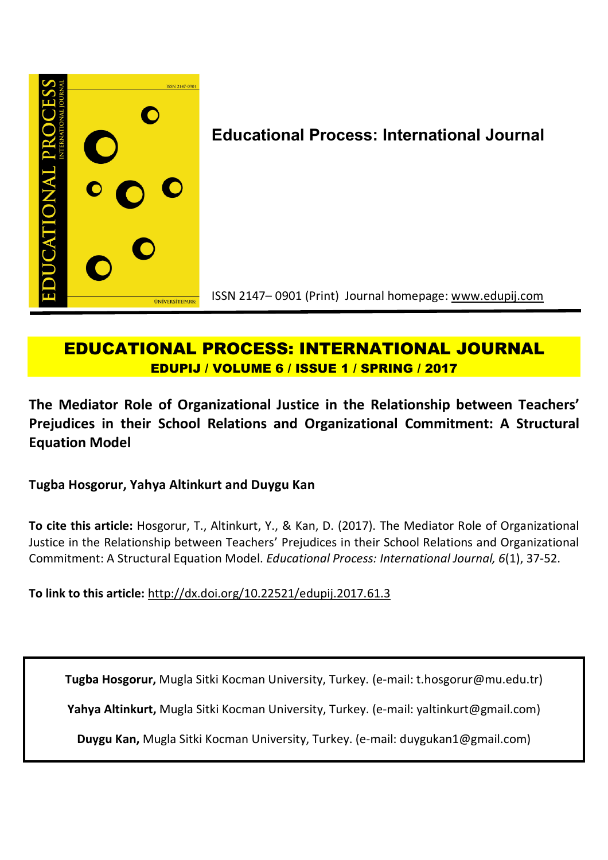

# **EDUCATIONAL PROCESS: INTERNATIONAL JOURNAL EDUPIJ / VOLUME 6 / ISSUE 1 / SPRING / 2017**

**The Mediator Role of Organizational Justice in the Relationship between Teachers' Prejudices in their School Relations and Organizational Commitment: A Structural Equation Model**

**Tugba Hosgorur, Yahya Altinkurt and Duygu Kan**

**To cite this article:** Hosgorur, T., Altinkurt, Y., & Kan, D. (2017). The Mediator Role of Organizational Justice in the Relationship between Teachers' Prejudices in their School Relations and Organizational Commitment: A Structural Equation Model. *Educational Process: International Journal, 6*(1), 37-52.

**To link to this article:** http://dx.doi.org/10.22521/edupij.2017.61.3

**Tugba Hosgorur,** Mugla Sitki Kocman University, Turkey. (e-mail: t.hosgorur@mu.edu.tr)

**Yahya Altinkurt,** Mugla Sitki Kocman University, Turkey. (e-mail: yaltinkurt@gmail.com)

**Duygu Kan,** Mugla Sitki Kocman University, Turkey. (e-mail: duygukan1@gmail.com)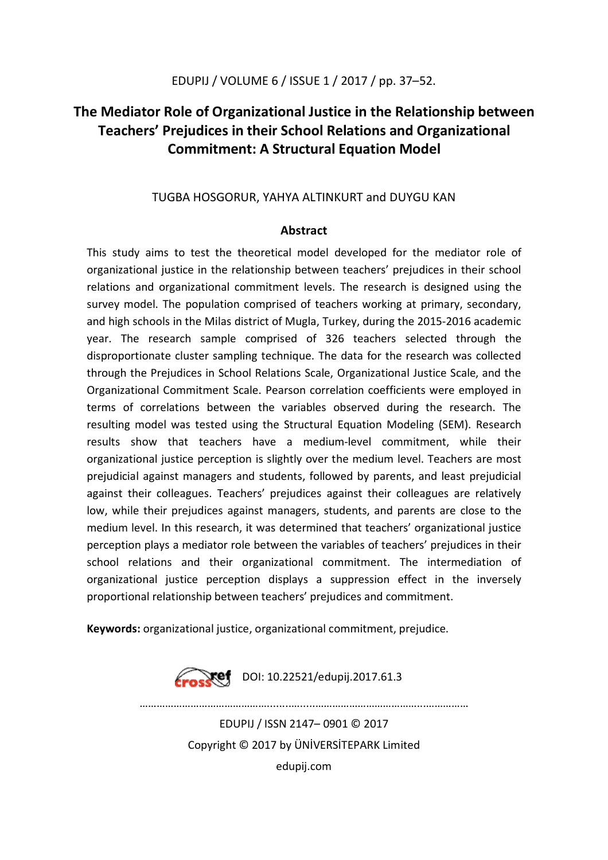## **The Mediator Role of Organizational Justice in the Relationship between Teachers' Prejudices in their School Relations and Organizational Commitment: A Structural Equation Model**

## TUGBA HOSGORUR, YAHYA ALTINKURT and DUYGU KAN

## **Abstract**

This study aims to test the theoretical model developed for the mediator role of organizational justice in the relationship between teachers' prejudices in their school relations and organizational commitment levels. The research is designed using the survey model. The population comprised of teachers working at primary, secondary, and high schools in the Milas district of Mugla, Turkey, during the 2015-2016 academic year. The research sample comprised of 326 teachers selected through the disproportionate cluster sampling technique. The data for the research was collected through the Prejudices in School Relations Scale, Organizational Justice Scale, and the Organizational Commitment Scale. Pearson correlation coefficients were employed in terms of correlations between the variables observed during the research. The resulting model was tested using the Structural Equation Modeling (SEM). Research results show that teachers have a medium-level commitment, while their organizational justice perception is slightly over the medium level. Teachers are most prejudicial against managers and students, followed by parents, and least prejudicial against their colleagues. Teachers' prejudices against their colleagues are relatively low, while their prejudices against managers, students, and parents are close to the medium level. In this research, it was determined that teachers' organizational justice perception plays a mediator role between the variables of teachers' prejudices in their school relations and their organizational commitment. The intermediation of organizational justice perception displays a suppression effect in the inversely proportional relationship between teachers' prejudices and commitment.

**Keywords:** organizational justice, organizational commitment, prejudice.



EDUPIJ / ISSN 2147– 0901 © 2017 Copyright © 2017 by ÜNİVERSİTEPARK Limited edupij.com

………………………………………........….....………………………………...……………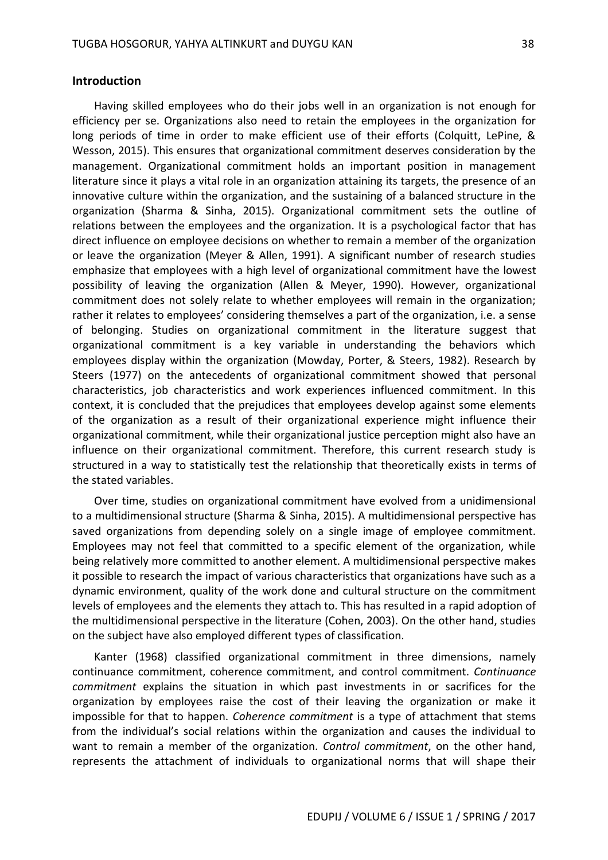#### **Introduction**

Having skilled employees who do their jobs well in an organization is not enough for efficiency per se. Organizations also need to retain the employees in the organization for long periods of time in order to make efficient use of their efforts (Colquitt, LePine, & Wesson, 2015). This ensures that organizational commitment deserves consideration by the management. Organizational commitment holds an important position in management literature since it plays a vital role in an organization attaining its targets, the presence of an innovative culture within the organization, and the sustaining of a balanced structure in the organization (Sharma & Sinha, 2015). Organizational commitment sets the outline of relations between the employees and the organization. It is a psychological factor that has direct influence on employee decisions on whether to remain a member of the organization or leave the organization (Meyer & Allen, 1991). A significant number of research studies emphasize that employees with a high level of organizational commitment have the lowest possibility of leaving the organization (Allen & Meyer, 1990). However, organizational commitment does not solely relate to whether employees will remain in the organization; rather it relates to employees' considering themselves a part of the organization, i.e. a sense of belonging. Studies on organizational commitment in the literature suggest that organizational commitment is a key variable in understanding the behaviors which employees display within the organization (Mowday, Porter, & Steers, 1982). Research by Steers (1977) on the antecedents of organizational commitment showed that personal characteristics, job characteristics and work experiences influenced commitment. In this context, it is concluded that the prejudices that employees develop against some elements of the organization as a result of their organizational experience might influence their organizational commitment, while their organizational justice perception might also have an influence on their organizational commitment. Therefore, this current research study is structured in a way to statistically test the relationship that theoretically exists in terms of the stated variables.

Over time, studies on organizational commitment have evolved from a unidimensional to a multidimensional structure (Sharma & Sinha, 2015). A multidimensional perspective has saved organizations from depending solely on a single image of employee commitment. Employees may not feel that committed to a specific element of the organization, while being relatively more committed to another element. A multidimensional perspective makes it possible to research the impact of various characteristics that organizations have such as a dynamic environment, quality of the work done and cultural structure on the commitment levels of employees and the elements they attach to. This has resulted in a rapid adoption of the multidimensional perspective in the literature (Cohen, 2003). On the other hand, studies on the subject have also employed different types of classification.

Kanter (1968) classified organizational commitment in three dimensions, namely continuance commitment, coherence commitment, and control commitment. *Continuance commitment* explains the situation in which past investments in or sacrifices for the organization by employees raise the cost of their leaving the organization or make it impossible for that to happen. *Coherence commitment* is a type of attachment that stems from the individual's social relations within the organization and causes the individual to want to remain a member of the organization. *Control commitment*, on the other hand, represents the attachment of individuals to organizational norms that will shape their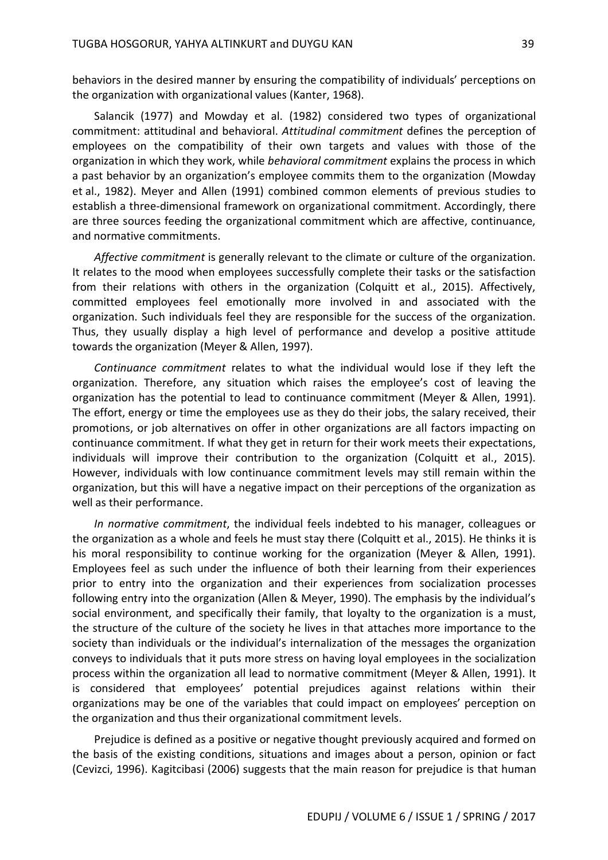behaviors in the desired manner by ensuring the compatibility of individuals' perceptions on the organization with organizational values (Kanter, 1968).

Salancik (1977) and Mowday et al. (1982) considered two types of organizational commitment: attitudinal and behavioral. *Attitudinal commitment* defines the perception of employees on the compatibility of their own targets and values with those of the organization in which they work, while *behavioral commitment* explains the process in which a past behavior by an organization's employee commits them to the organization (Mowday et al., 1982). Meyer and Allen (1991) combined common elements of previous studies to establish a three-dimensional framework on organizational commitment. Accordingly, there are three sources feeding the organizational commitment which are affective, continuance, and normative commitments.

*Affective commitment* is generally relevant to the climate or culture of the organization. It relates to the mood when employees successfully complete their tasks or the satisfaction from their relations with others in the organization (Colquitt et al., 2015). Affectively, committed employees feel emotionally more involved in and associated with the organization. Such individuals feel they are responsible for the success of the organization. Thus, they usually display a high level of performance and develop a positive attitude towards the organization (Meyer & Allen, 1997).

*Continuance commitment* relates to what the individual would lose if they left the organization. Therefore, any situation which raises the employee's cost of leaving the organization has the potential to lead to continuance commitment (Meyer & Allen, 1991). The effort, energy or time the employees use as they do their jobs, the salary received, their promotions, or job alternatives on offer in other organizations are all factors impacting on continuance commitment. If what they get in return for their work meets their expectations, individuals will improve their contribution to the organization (Colquitt et al., 2015). However, individuals with low continuance commitment levels may still remain within the organization, but this will have a negative impact on their perceptions of the organization as well as their performance.

*In normative commitment*, the individual feels indebted to his manager, colleagues or the organization as a whole and feels he must stay there (Colquitt et al., 2015). He thinks it is his moral responsibility to continue working for the organization (Meyer & Allen, 1991). Employees feel as such under the influence of both their learning from their experiences prior to entry into the organization and their experiences from socialization processes following entry into the organization (Allen & Meyer, 1990). The emphasis by the individual's social environment, and specifically their family, that loyalty to the organization is a must, the structure of the culture of the society he lives in that attaches more importance to the society than individuals or the individual's internalization of the messages the organization conveys to individuals that it puts more stress on having loyal employees in the socialization process within the organization all lead to normative commitment (Meyer & Allen, 1991). It is considered that employees' potential prejudices against relations within their organizations may be one of the variables that could impact on employees' perception on the organization and thus their organizational commitment levels.

Prejudice is defined as a positive or negative thought previously acquired and formed on the basis of the existing conditions, situations and images about a person, opinion or fact (Cevizci, 1996). Kagitcibasi (2006) suggests that the main reason for prejudice is that human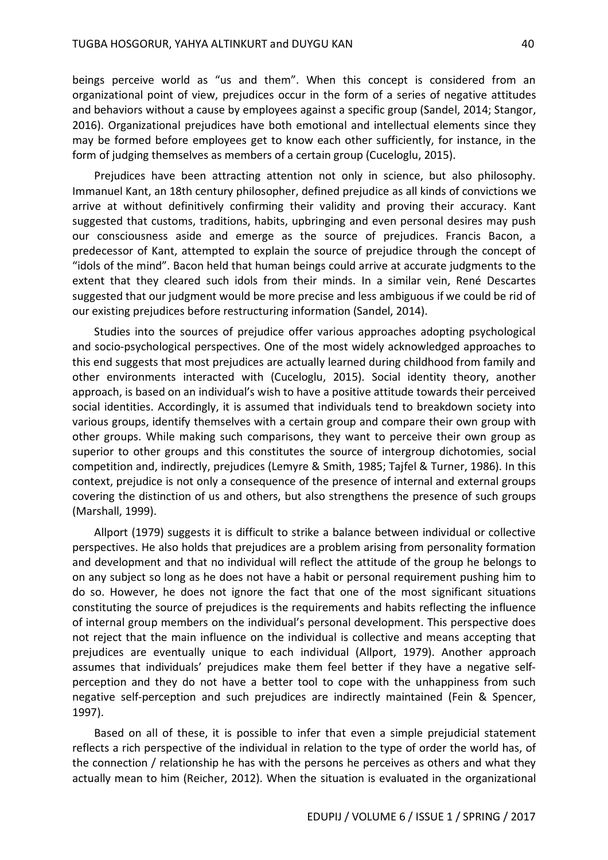beings perceive world as "us and them". When this concept is considered from an organizational point of view, prejudices occur in the form of a series of negative attitudes and behaviors without a cause by employees against a specific group (Sandel, 2014; Stangor, 2016). Organizational prejudices have both emotional and intellectual elements since they may be formed before employees get to know each other sufficiently, for instance, in the form of judging themselves as members of a certain group (Cuceloglu, 2015).

Prejudices have been attracting attention not only in science, but also philosophy. Immanuel Kant, an 18th century philosopher, defined prejudice as all kinds of convictions we arrive at without definitively confirming their validity and proving their accuracy. Kant suggested that customs, traditions, habits, upbringing and even personal desires may push our consciousness aside and emerge as the source of prejudices. Francis Bacon, a predecessor of Kant, attempted to explain the source of prejudice through the concept of "idols of the mind". Bacon held that human beings could arrive at accurate judgments to the extent that they cleared such idols from their minds. In a similar vein, René Descartes suggested that our judgment would be more precise and less ambiguous if we could be rid of our existing prejudices before restructuring information (Sandel, 2014).

Studies into the sources of prejudice offer various approaches adopting psychological and socio-psychological perspectives. One of the most widely acknowledged approaches to this end suggests that most prejudices are actually learned during childhood from family and other environments interacted with (Cuceloglu, 2015). Social identity theory, another approach, is based on an individual's wish to have a positive attitude towards their perceived social identities. Accordingly, it is assumed that individuals tend to breakdown society into various groups, identify themselves with a certain group and compare their own group with other groups. While making such comparisons, they want to perceive their own group as superior to other groups and this constitutes the source of intergroup dichotomies, social competition and, indirectly, prejudices (Lemyre & Smith, 1985; Tajfel & Turner, 1986). In this context, prejudice is not only a consequence of the presence of internal and external groups covering the distinction of us and others, but also strengthens the presence of such groups (Marshall, 1999).

Allport (1979) suggests it is difficult to strike a balance between individual or collective perspectives. He also holds that prejudices are a problem arising from personality formation and development and that no individual will reflect the attitude of the group he belongs to on any subject so long as he does not have a habit or personal requirement pushing him to do so. However, he does not ignore the fact that one of the most significant situations constituting the source of prejudices is the requirements and habits reflecting the influence of internal group members on the individual's personal development. This perspective does not reject that the main influence on the individual is collective and means accepting that prejudices are eventually unique to each individual (Allport, 1979). Another approach assumes that individuals' prejudices make them feel better if they have a negative selfperception and they do not have a better tool to cope with the unhappiness from such negative self-perception and such prejudices are indirectly maintained (Fein & Spencer, 1997).

Based on all of these, it is possible to infer that even a simple prejudicial statement reflects a rich perspective of the individual in relation to the type of order the world has, of the connection / relationship he has with the persons he perceives as others and what they actually mean to him (Reicher, 2012). When the situation is evaluated in the organizational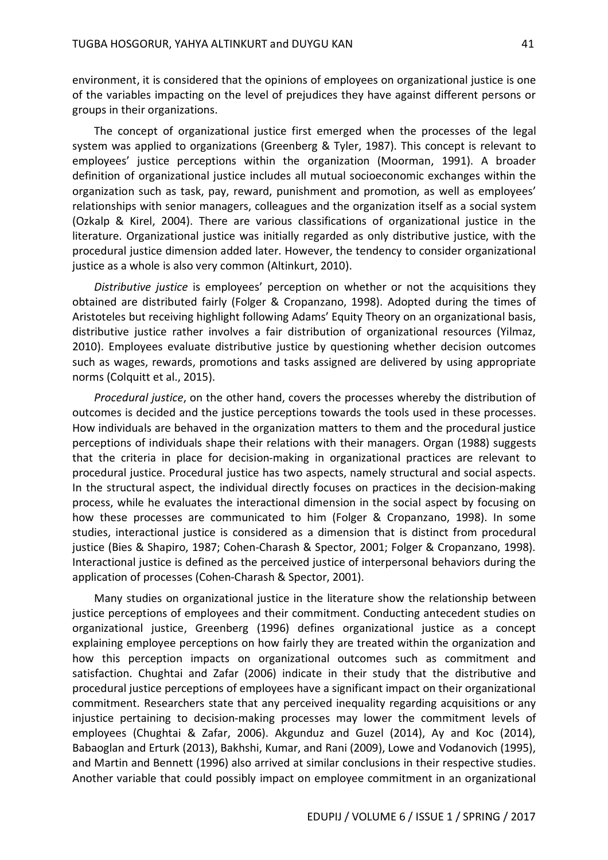environment, it is considered that the opinions of employees on organizational justice is one of the variables impacting on the level of prejudices they have against different persons or groups in their organizations.

The concept of organizational justice first emerged when the processes of the legal system was applied to organizations (Greenberg & Tyler, 1987). This concept is relevant to employees' justice perceptions within the organization (Moorman, 1991). A broader definition of organizational justice includes all mutual socioeconomic exchanges within the organization such as task, pay, reward, punishment and promotion, as well as employees' relationships with senior managers, colleagues and the organization itself as a social system (Ozkalp & Kirel, 2004). There are various classifications of organizational justice in the literature. Organizational justice was initially regarded as only distributive justice, with the procedural justice dimension added later. However, the tendency to consider organizational justice as a whole is also very common (Altinkurt, 2010).

*Distributive justice* is employees' perception on whether or not the acquisitions they obtained are distributed fairly (Folger & Cropanzano, 1998). Adopted during the times of Aristoteles but receiving highlight following Adams' Equity Theory on an organizational basis, distributive justice rather involves a fair distribution of organizational resources (Yilmaz, 2010). Employees evaluate distributive justice by questioning whether decision outcomes such as wages, rewards, promotions and tasks assigned are delivered by using appropriate norms (Colquitt et al., 2015).

*Procedural justice*, on the other hand, covers the processes whereby the distribution of outcomes is decided and the justice perceptions towards the tools used in these processes. How individuals are behaved in the organization matters to them and the procedural justice perceptions of individuals shape their relations with their managers. Organ (1988) suggests that the criteria in place for decision-making in organizational practices are relevant to procedural justice. Procedural justice has two aspects, namely structural and social aspects. In the structural aspect, the individual directly focuses on practices in the decision-making process, while he evaluates the interactional dimension in the social aspect by focusing on how these processes are communicated to him (Folger & Cropanzano, 1998). In some studies, interactional justice is considered as a dimension that is distinct from procedural justice (Bies & Shapiro, 1987; Cohen-Charash & Spector, 2001; Folger & Cropanzano, 1998). Interactional justice is defined as the perceived justice of interpersonal behaviors during the application of processes (Cohen-Charash & Spector, 2001).

Many studies on organizational justice in the literature show the relationship between justice perceptions of employees and their commitment. Conducting antecedent studies on organizational justice, Greenberg (1996) defines organizational justice as a concept explaining employee perceptions on how fairly they are treated within the organization and how this perception impacts on organizational outcomes such as commitment and satisfaction. Chughtai and Zafar (2006) indicate in their study that the distributive and procedural justice perceptions of employees have a significant impact on their organizational commitment. Researchers state that any perceived inequality regarding acquisitions or any injustice pertaining to decision-making processes may lower the commitment levels of employees (Chughtai & Zafar, 2006). Akgunduz and Guzel (2014), Ay and Koc (2014), Babaoglan and Erturk (2013), Bakhshi, Kumar, and Rani (2009), Lowe and Vodanovich (1995), and Martin and Bennett (1996) also arrived at similar conclusions in their respective studies. Another variable that could possibly impact on employee commitment in an organizational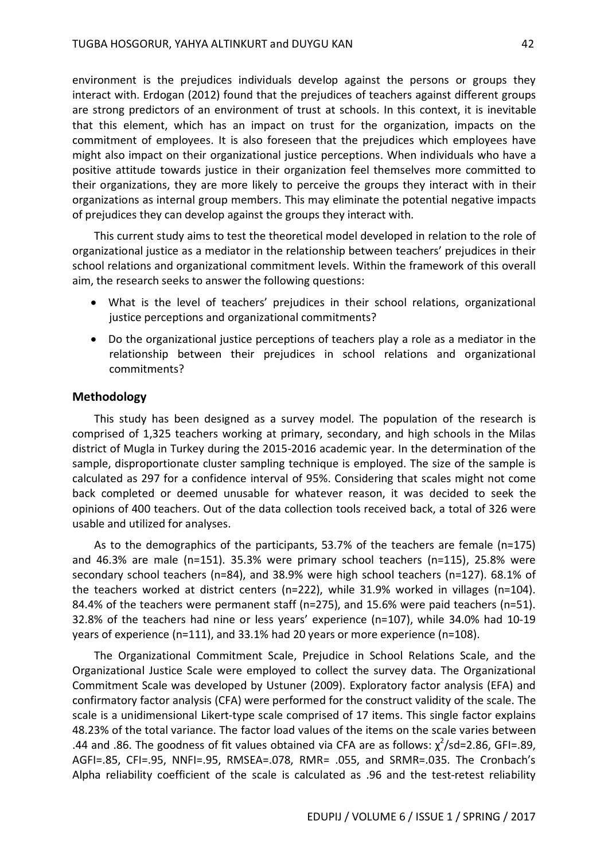environment is the prejudices individuals develop against the persons or groups they interact with. Erdogan (2012) found that the prejudices of teachers against different groups are strong predictors of an environment of trust at schools. In this context, it is inevitable that this element, which has an impact on trust for the organization, impacts on the commitment of employees. It is also foreseen that the prejudices which employees have might also impact on their organizational justice perceptions. When individuals who have a positive attitude towards justice in their organization feel themselves more committed to their organizations, they are more likely to perceive the groups they interact with in their organizations as internal group members. This may eliminate the potential negative impacts of prejudices they can develop against the groups they interact with.

This current study aims to test the theoretical model developed in relation to the role of organizational justice as a mediator in the relationship between teachers' prejudices in their school relations and organizational commitment levels. Within the framework of this overall aim, the research seeks to answer the following questions:

- What is the level of teachers' prejudices in their school relations, organizational justice perceptions and organizational commitments?
- Do the organizational justice perceptions of teachers play a role as a mediator in the relationship between their prejudices in school relations and organizational commitments?

#### **Methodology**

This study has been designed as a survey model. The population of the research is comprised of 1,325 teachers working at primary, secondary, and high schools in the Milas district of Mugla in Turkey during the 2015-2016 academic year. In the determination of the sample, disproportionate cluster sampling technique is employed. The size of the sample is calculated as 297 for a confidence interval of 95%. Considering that scales might not come back completed or deemed unusable for whatever reason, it was decided to seek the opinions of 400 teachers. Out of the data collection tools received back, a total of 326 were usable and utilized for analyses.

As to the demographics of the participants, 53.7% of the teachers are female (n=175) and 46.3% are male (n=151). 35.3% were primary school teachers (n=115), 25.8% were secondary school teachers (n=84), and 38.9% were high school teachers (n=127). 68.1% of the teachers worked at district centers (n=222), while 31.9% worked in villages (n=104). 84.4% of the teachers were permanent staff (n=275), and 15.6% were paid teachers (n=51). 32.8% of the teachers had nine or less years' experience (n=107), while 34.0% had 10-19 years of experience (n=111), and 33.1% had 20 years or more experience (n=108).

The Organizational Commitment Scale, Prejudice in School Relations Scale, and the Organizational Justice Scale were employed to collect the survey data. The Organizational Commitment Scale was developed by Ustuner (2009). Exploratory factor analysis (EFA) and confirmatory factor analysis (CFA) were performed for the construct validity of the scale. The scale is a unidimensional Likert-type scale comprised of 17 items. This single factor explains 48.23% of the total variance. The factor load values of the items on the scale varies between .44 and .86. The goodness of fit values obtained via CFA are as follows:  $\chi^2$ /sd=2.86, GFI=.89, AGFI=.85, CFI=.95, NNFI=.95, RMSEA=.078, RMR= .055, and SRMR=.035. The Cronbach's Alpha reliability coefficient of the scale is calculated as .96 and the test-retest reliability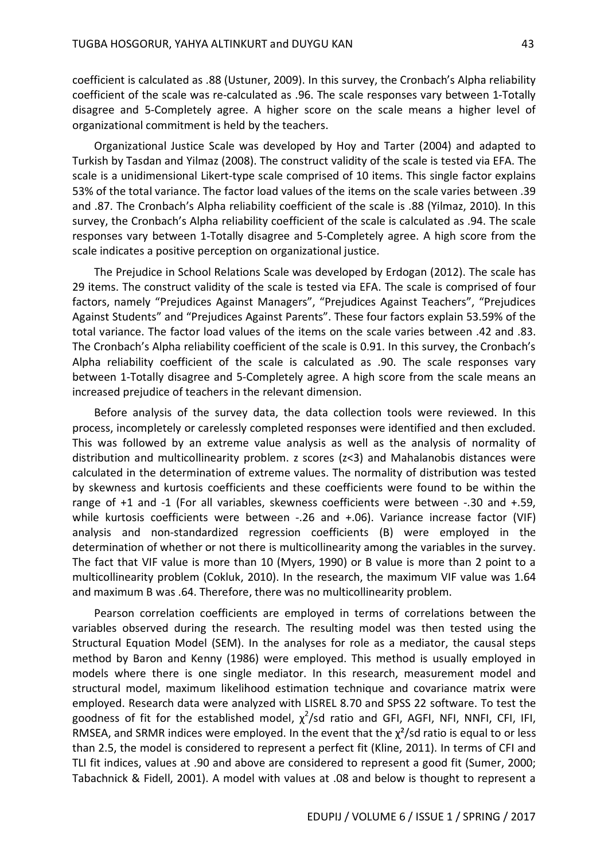coefficient is calculated as .88 (Ustuner, 2009). In this survey, the Cronbach's Alpha reliability coefficient of the scale was re-calculated as .96. The scale responses vary between 1-Totally disagree and 5-Completely agree. A higher score on the scale means a higher level of organizational commitment is held by the teachers.

Organizational Justice Scale was developed by Hoy and Tarter (2004) and adapted to Turkish by Tasdan and Yilmaz (2008). The construct validity of the scale is tested via EFA. The scale is a unidimensional Likert-type scale comprised of 10 items. This single factor explains 53% of the total variance. The factor load values of the items on the scale varies between .39 and .87. The Cronbach's Alpha reliability coefficient of the scale is .88 (Yilmaz, 2010). In this survey, the Cronbach's Alpha reliability coefficient of the scale is calculated as .94. The scale responses vary between 1-Totally disagree and 5-Completely agree. A high score from the scale indicates a positive perception on organizational justice.

The Prejudice in School Relations Scale was developed by Erdogan (2012). The scale has 29 items. The construct validity of the scale is tested via EFA. The scale is comprised of four factors, namely "Prejudices Against Managers", "Prejudices Against Teachers", "Prejudices Against Students" and "Prejudices Against Parents". These four factors explain 53.59% of the total variance. The factor load values of the items on the scale varies between .42 and .83. The Cronbach's Alpha reliability coefficient of the scale is 0.91. In this survey, the Cronbach's Alpha reliability coefficient of the scale is calculated as .90. The scale responses vary between 1-Totally disagree and 5-Completely agree. A high score from the scale means an increased prejudice of teachers in the relevant dimension.

Before analysis of the survey data, the data collection tools were reviewed. In this process, incompletely or carelessly completed responses were identified and then excluded. This was followed by an extreme value analysis as well as the analysis of normality of distribution and multicollinearity problem. z scores (z<3) and Mahalanobis distances were calculated in the determination of extreme values. The normality of distribution was tested by skewness and kurtosis coefficients and these coefficients were found to be within the range of +1 and -1 (For all variables, skewness coefficients were between -.30 and +.59, while kurtosis coefficients were between -.26 and +.06). Variance increase factor (VIF) analysis and non-standardized regression coefficients (B) were employed in the determination of whether or not there is multicollinearity among the variables in the survey. The fact that VIF value is more than 10 (Myers, 1990) or B value is more than 2 point to a multicollinearity problem (Cokluk, 2010). In the research, the maximum VIF value was 1.64 and maximum B was .64. Therefore, there was no multicollinearity problem.

Pearson correlation coefficients are employed in terms of correlations between the variables observed during the research. The resulting model was then tested using the Structural Equation Model (SEM). In the analyses for role as a mediator, the causal steps method by Baron and Kenny (1986) were employed. This method is usually employed in models where there is one single mediator. In this research, measurement model and structural model, maximum likelihood estimation technique and covariance matrix were employed. Research data were analyzed with LISREL 8.70 and SPSS 22 software. To test the goodness of fit for the established model,  $\chi^2$ /sd ratio and GFI, AGFI, NFI, NNFI, CFI, IFI, RMSEA, and SRMR indices were employed. In the event that the  $\chi^2$ /sd ratio is equal to or less than 2.5, the model is considered to represent a perfect fit (Kline, 2011). In terms of CFI and TLI fit indices, values at .90 and above are considered to represent a good fit (Sumer, 2000; Tabachnick & Fidell, 2001). A model with values at .08 and below is thought to represent a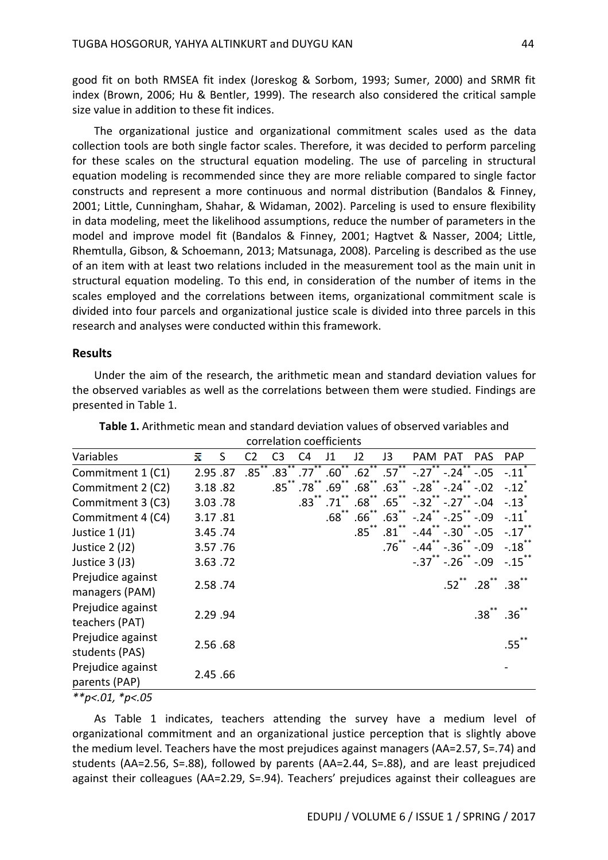good fit on both RMSEA fit index (Joreskog & Sorbom, 1993; Sumer, 2000) and SRMR fit index (Brown, 2006; Hu & Bentler, 1999). The research also considered the critical sample size value in addition to these fit indices.

The organizational justice and organizational commitment scales used as the data collection tools are both single factor scales. Therefore, it was decided to perform parceling for these scales on the structural equation modeling. The use of parceling in structural equation modeling is recommended since they are more reliable compared to single factor constructs and represent a more continuous and normal distribution (Bandalos & Finney, 2001; Little, Cunningham, Shahar, & Widaman, 2002). Parceling is used to ensure flexibility in data modeling, meet the likelihood assumptions, reduce the number of parameters in the model and improve model fit (Bandalos & Finney, 2001; Hagtvet & Nasser, 2004; Little, Rhemtulla, Gibson, & Schoemann, 2013; Matsunaga, 2008). Parceling is described as the use of an item with at least two relations included in the measurement tool as the main unit in structural equation modeling. To this end, in consideration of the number of items in the scales employed and the correlations between items, organizational commitment scale is divided into four parcels and organizational justice scale is divided into three parcels in this research and analyses were conducted within this framework.

#### **Results**

Under the aim of the research, the arithmetic mean and standard deviation values for the observed variables as well as the correlations between them were studied. Findings are presented in Table 1.

| Variables         | x       | S       | C2       | C3        | C4                        | J1                        | J2                    | J3                    | PAM PAT             |                         | <b>PAS</b>                    | <b>PAP</b>           |
|-------------------|---------|---------|----------|-----------|---------------------------|---------------------------|-----------------------|-----------------------|---------------------|-------------------------|-------------------------------|----------------------|
| Commitment 1 (C1) |         | 2.95.87 | $.85***$ | **<br>.83 | $***$<br>.77 <sup>°</sup> | $***$<br>.60 <sup>°</sup> | $.62^{\overline{**}}$ | $.57^{\overline{**}}$ | $-.27 - .24$        |                         | $-.05$                        | $-.11$ <sup>*</sup>  |
| Commitment 2 (C2) |         | 3.18.82 |          |           | $.85$ $*$ $.78$ $*$       | $.69$ **                  | .68 <sup>°</sup>      | $.63***$              |                     | $-.28$ $-.24$ $*$       | $-.02$                        | $-.12$ <sup>*</sup>  |
| Commitment 3 (C3) |         | 3.03.78 |          |           | $.83***$                  | .71                       | $.68$ <sup>**</sup>   | $.65$ **              | $-.32$ ** $-.27$ ** |                         | $-.04$                        | $-.13$ <sup>-1</sup> |
| Commitment 4 (C4) |         | 3.17.81 |          |           |                           | .68 <sup>°</sup>          | .66 <sup>2</sup>      | .63 <sup>2</sup>      |                     | $-0.24$ $-0.25$ $-0.09$ |                               | $-.11$               |
| Justice $1$ (J1)  |         | 3.45.74 |          |           |                           |                           | $.85$ $*$             | .81                   | -.44                | $-.30$                  | $-.05$                        | $-.17$ <sup>**</sup> |
| Justice 2 (J2)    |         | 3.57.76 |          |           |                           |                           |                       | $.76***$              |                     | $-.44$ $-.36$ $-.09$    |                               | $-.18$ **            |
| Justice 3 (J3)    |         | 3.63.72 |          |           |                           |                           |                       |                       |                     | $-.37$ $-.26$ $-.09$    |                               | $-.15$ **            |
| Prejudice against |         | 2.58.74 |          |           |                           |                           |                       |                       |                     |                         | $.52$ $*$ $.28$ $*$ $.38$ $*$ |                      |
| managers (PAM)    |         |         |          |           |                           |                           |                       |                       |                     |                         |                               |                      |
| Prejudice against |         | 2.29.94 |          |           |                           |                           |                       |                       |                     |                         | $.38***$                      | .36                  |
| teachers (PAT)    |         |         |          |           |                           |                           |                       |                       |                     |                         |                               |                      |
| Prejudice against |         | 2.56.68 |          |           |                           |                           |                       |                       |                     |                         |                               | $.55$ **             |
| students (PAS)    |         |         |          |           |                           |                           |                       |                       |                     |                         |                               |                      |
| Prejudice against |         |         |          |           |                           |                           |                       |                       |                     |                         |                               |                      |
| parents (PAP)     | 2.45.66 |         |          |           |                           |                           |                       |                       |                     |                         |                               |                      |
|                   |         |         |          |           |                           |                           |                       |                       |                     |                         |                               |                      |

| Table 1. Arithmetic mean and standard deviation values of observed variables and |                          |  |
|----------------------------------------------------------------------------------|--------------------------|--|
|                                                                                  | correlation coefficients |  |

*\*\*p<.01, \*p<.05*

As Table 1 indicates, teachers attending the survey have a medium level of organizational commitment and an organizational justice perception that is slightly above the medium level. Teachers have the most prejudices against managers (AA=2.57, S=.74) and students (AA=2.56, S=.88), followed by parents (AA=2.44, S=.88), and are least prejudiced against their colleagues (AA=2.29, S=.94). Teachers' prejudices against their colleagues are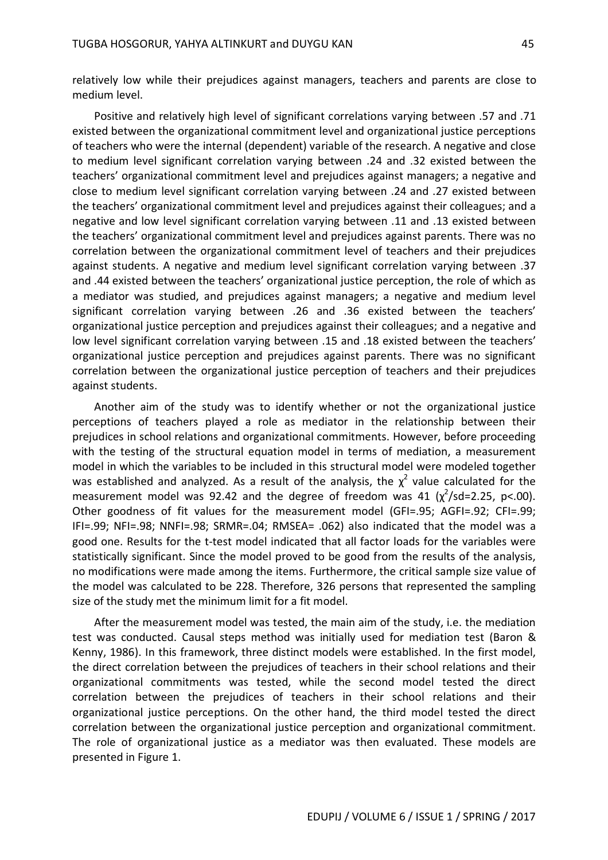relatively low while their prejudices against managers, teachers and parents are close to medium level.

Positive and relatively high level of significant correlations varying between .57 and .71 existed between the organizational commitment level and organizational justice perceptions of teachers who were the internal (dependent) variable of the research. A negative and close to medium level significant correlation varying between .24 and .32 existed between the teachers' organizational commitment level and prejudices against managers; a negative and close to medium level significant correlation varying between .24 and .27 existed between the teachers' organizational commitment level and prejudices against their colleagues; and a negative and low level significant correlation varying between .11 and .13 existed between the teachers' organizational commitment level and prejudices against parents. There was no correlation between the organizational commitment level of teachers and their prejudices against students. A negative and medium level significant correlation varying between .37 and .44 existed between the teachers' organizational justice perception, the role of which as a mediator was studied, and prejudices against managers; a negative and medium level significant correlation varying between .26 and .36 existed between the teachers' organizational justice perception and prejudices against their colleagues; and a negative and low level significant correlation varying between .15 and .18 existed between the teachers' organizational justice perception and prejudices against parents. There was no significant correlation between the organizational justice perception of teachers and their prejudices against students.

Another aim of the study was to identify whether or not the organizational justice perceptions of teachers played a role as mediator in the relationship between their prejudices in school relations and organizational commitments. However, before proceeding with the testing of the structural equation model in terms of mediation, a measurement model in which the variables to be included in this structural model were modeled together was established and analyzed. As a result of the analysis, the  $\chi^2$  value calculated for the measurement model was 92.42 and the degree of freedom was 41  $(\chi^2$ /sd=2.25, p<.00). Other goodness of fit values for the measurement model (GFI=.95; AGFI=.92; CFI=.99; IFI=.99; NFI=.98; NNFI=.98; SRMR=.04; RMSEA= .062) also indicated that the model was a good one. Results for the t-test model indicated that all factor loads for the variables were statistically significant. Since the model proved to be good from the results of the analysis, no modifications were made among the items. Furthermore, the critical sample size value of the model was calculated to be 228. Therefore, 326 persons that represented the sampling size of the study met the minimum limit for a fit model.

After the measurement model was tested, the main aim of the study, i.e. the mediation test was conducted. Causal steps method was initially used for mediation test (Baron & Kenny, 1986). In this framework, three distinct models were established. In the first model, the direct correlation between the prejudices of teachers in their school relations and their organizational commitments was tested, while the second model tested the direct correlation between the prejudices of teachers in their school relations and their organizational justice perceptions. On the other hand, the third model tested the direct correlation between the organizational justice perception and organizational commitment. The role of organizational justice as a mediator was then evaluated. These models are presented in Figure 1.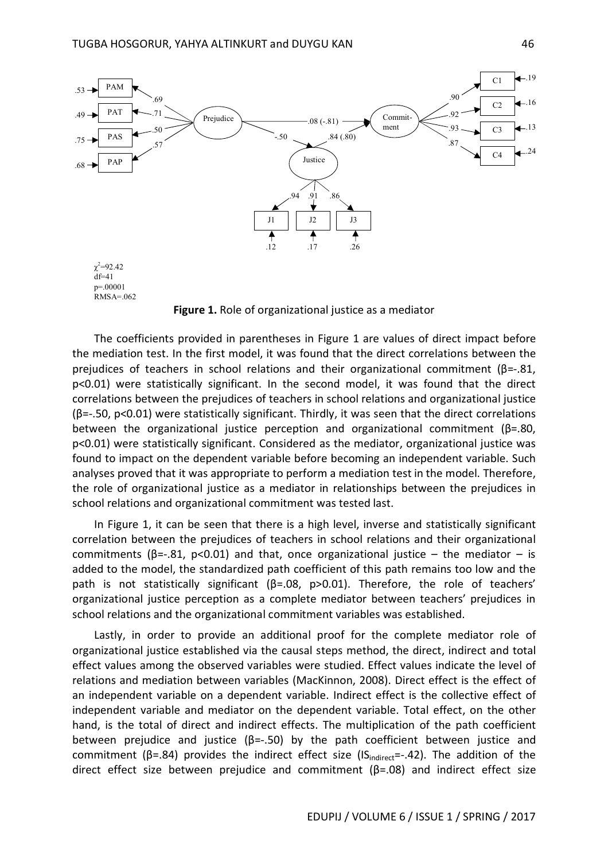

**Figure 1.** Role of organizational justice as a mediator

The coefficients provided in parentheses in Figure 1 are values of direct impact before the mediation test. In the first model, it was found that the direct correlations between the prejudices of teachers in school relations and their organizational commitment  $(\beta = .81)$ , p<0.01) were statistically significant. In the second model, it was found that the direct correlations between the prejudices of teachers in school relations and organizational justice (β=-.50, p<0.01) were statistically significant. Thirdly, it was seen that the direct correlations between the organizational justice perception and organizational commitment ( $\beta$ =.80, p<0.01) were statistically significant. Considered as the mediator, organizational justice was found to impact on the dependent variable before becoming an independent variable. Such analyses proved that it was appropriate to perform a mediation test in the model. Therefore, the role of organizational justice as a mediator in relationships between the prejudices in school relations and organizational commitment was tested last.

In Figure 1, it can be seen that there is a high level, inverse and statistically significant correlation between the prejudices of teachers in school relations and their organizational commitments ( $\beta$ =-.81, p<0.01) and that, once organizational justice – the mediator – is added to the model, the standardized path coefficient of this path remains too low and the path is not statistically significant ( $\beta$ =.08, p>0.01). Therefore, the role of teachers' organizational justice perception as a complete mediator between teachers' prejudices in school relations and the organizational commitment variables was established.

Lastly, in order to provide an additional proof for the complete mediator role of organizational justice established via the causal steps method, the direct, indirect and total effect values among the observed variables were studied. Effect values indicate the level of relations and mediation between variables (MacKinnon, 2008). Direct effect is the effect of an independent variable on a dependent variable. Indirect effect is the collective effect of independent variable and mediator on the dependent variable. Total effect, on the other hand, is the total of direct and indirect effects. The multiplication of the path coefficient between prejudice and justice  $(\beta = .50)$  by the path coefficient between justice and commitment ( $\beta$ =.84) provides the indirect effect size (IS<sub>indirect</sub>=-.42). The addition of the direct effect size between prejudice and commitment ( $\beta$ =.08) and indirect effect size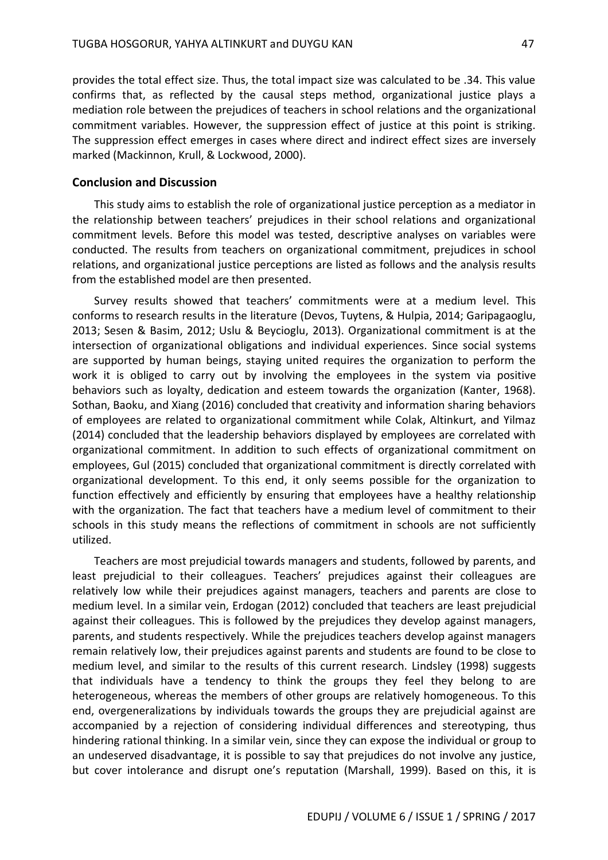provides the total effect size. Thus, the total impact size was calculated to be .34. This value confirms that, as reflected by the causal steps method, organizational justice plays a mediation role between the prejudices of teachers in school relations and the organizational commitment variables. However, the suppression effect of justice at this point is striking. The suppression effect emerges in cases where direct and indirect effect sizes are inversely marked (Mackinnon, Krull, & Lockwood, 2000).

#### **Conclusion and Discussion**

This study aims to establish the role of organizational justice perception as a mediator in the relationship between teachers' prejudices in their school relations and organizational commitment levels. Before this model was tested, descriptive analyses on variables were conducted. The results from teachers on organizational commitment, prejudices in school relations, and organizational justice perceptions are listed as follows and the analysis results from the established model are then presented.

Survey results showed that teachers' commitments were at a medium level. This conforms to research results in the literature (Devos, Tuytens, & Hulpia, 2014; Garipagaoglu, 2013; Sesen & Basim, 2012; Uslu & Beycioglu, 2013). Organizational commitment is at the intersection of organizational obligations and individual experiences. Since social systems are supported by human beings, staying united requires the organization to perform the work it is obliged to carry out by involving the employees in the system via positive behaviors such as loyalty, dedication and esteem towards the organization (Kanter, 1968). Sothan, Baoku, and Xiang (2016) concluded that creativity and information sharing behaviors of employees are related to organizational commitment while Colak, Altinkurt, and Yilmaz (2014) concluded that the leadership behaviors displayed by employees are correlated with organizational commitment. In addition to such effects of organizational commitment on employees, Gul (2015) concluded that organizational commitment is directly correlated with organizational development. To this end, it only seems possible for the organization to function effectively and efficiently by ensuring that employees have a healthy relationship with the organization. The fact that teachers have a medium level of commitment to their schools in this study means the reflections of commitment in schools are not sufficiently utilized.

Teachers are most prejudicial towards managers and students, followed by parents, and least prejudicial to their colleagues. Teachers' prejudices against their colleagues are relatively low while their prejudices against managers, teachers and parents are close to medium level. In a similar vein, Erdogan (2012) concluded that teachers are least prejudicial against their colleagues. This is followed by the prejudices they develop against managers, parents, and students respectively. While the prejudices teachers develop against managers remain relatively low, their prejudices against parents and students are found to be close to medium level, and similar to the results of this current research. Lindsley (1998) suggests that individuals have a tendency to think the groups they feel they belong to are heterogeneous, whereas the members of other groups are relatively homogeneous. To this end, overgeneralizations by individuals towards the groups they are prejudicial against are accompanied by a rejection of considering individual differences and stereotyping, thus hindering rational thinking. In a similar vein, since they can expose the individual or group to an undeserved disadvantage, it is possible to say that prejudices do not involve any justice, but cover intolerance and disrupt one's reputation (Marshall, 1999). Based on this, it is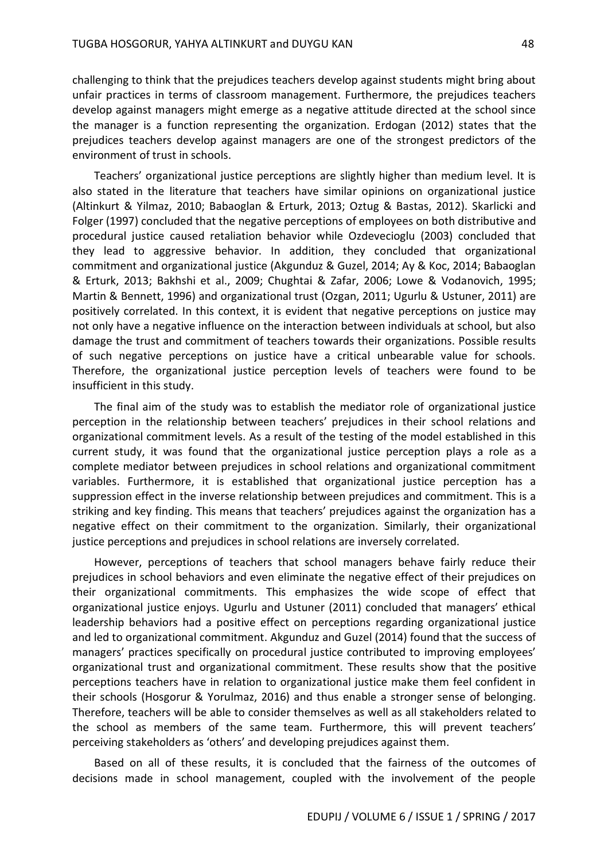challenging to think that the prejudices teachers develop against students might bring about unfair practices in terms of classroom management. Furthermore, the prejudices teachers develop against managers might emerge as a negative attitude directed at the school since the manager is a function representing the organization. Erdogan (2012) states that the prejudices teachers develop against managers are one of the strongest predictors of the environment of trust in schools.

Teachers' organizational justice perceptions are slightly higher than medium level. It is also stated in the literature that teachers have similar opinions on organizational justice (Altinkurt & Yilmaz, 2010; Babaoglan & Erturk, 2013; Oztug & Bastas, 2012). Skarlicki and Folger (1997) concluded that the negative perceptions of employees on both distributive and procedural justice caused retaliation behavior while Ozdevecioglu (2003) concluded that they lead to aggressive behavior. In addition, they concluded that organizational commitment and organizational justice (Akgunduz & Guzel, 2014; Ay & Koc, 2014; Babaoglan & Erturk, 2013; Bakhshi et al., 2009; Chughtai & Zafar, 2006; Lowe & Vodanovich, 1995; Martin & Bennett, 1996) and organizational trust (Ozgan, 2011; Ugurlu & Ustuner, 2011) are positively correlated. In this context, it is evident that negative perceptions on justice may not only have a negative influence on the interaction between individuals at school, but also damage the trust and commitment of teachers towards their organizations. Possible results of such negative perceptions on justice have a critical unbearable value for schools. Therefore, the organizational justice perception levels of teachers were found to be insufficient in this study.

The final aim of the study was to establish the mediator role of organizational justice perception in the relationship between teachers' prejudices in their school relations and organizational commitment levels. As a result of the testing of the model established in this current study, it was found that the organizational justice perception plays a role as a complete mediator between prejudices in school relations and organizational commitment variables. Furthermore, it is established that organizational justice perception has a suppression effect in the inverse relationship between prejudices and commitment. This is a striking and key finding. This means that teachers' prejudices against the organization has a negative effect on their commitment to the organization. Similarly, their organizational justice perceptions and prejudices in school relations are inversely correlated.

However, perceptions of teachers that school managers behave fairly reduce their prejudices in school behaviors and even eliminate the negative effect of their prejudices on their organizational commitments. This emphasizes the wide scope of effect that organizational justice enjoys. Ugurlu and Ustuner (2011) concluded that managers' ethical leadership behaviors had a positive effect on perceptions regarding organizational justice and led to organizational commitment. Akgunduz and Guzel (2014) found that the success of managers' practices specifically on procedural justice contributed to improving employees' organizational trust and organizational commitment. These results show that the positive perceptions teachers have in relation to organizational justice make them feel confident in their schools (Hosgorur & Yorulmaz, 2016) and thus enable a stronger sense of belonging. Therefore, teachers will be able to consider themselves as well as all stakeholders related to the school as members of the same team. Furthermore, this will prevent teachers' perceiving stakeholders as 'others' and developing prejudices against them.

Based on all of these results, it is concluded that the fairness of the outcomes of decisions made in school management, coupled with the involvement of the people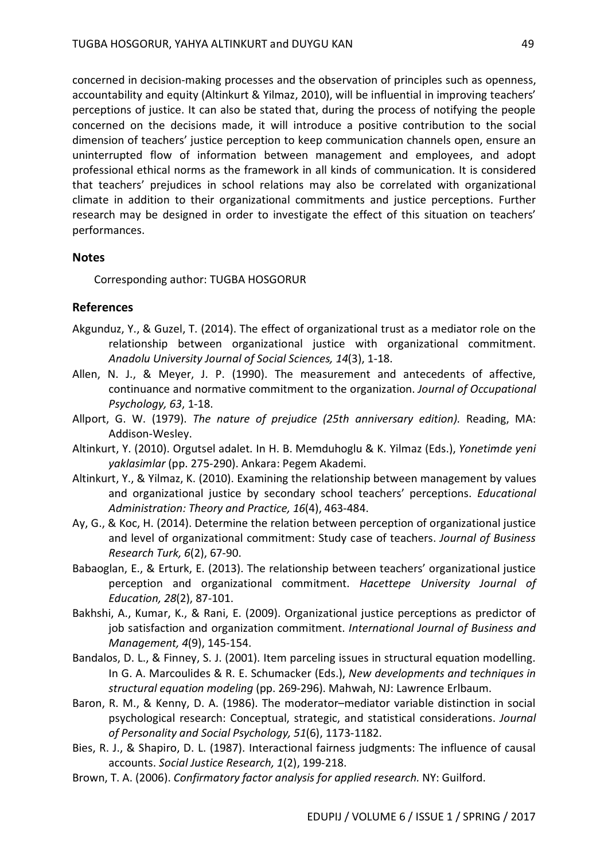concerned in decision-making processes and the observation of principles such as openness, accountability and equity (Altinkurt & Yilmaz, 2010), will be influential in improving teachers' perceptions of justice. It can also be stated that, during the process of notifying the people concerned on the decisions made, it will introduce a positive contribution to the social dimension of teachers' justice perception to keep communication channels open, ensure an uninterrupted flow of information between management and employees, and adopt professional ethical norms as the framework in all kinds of communication. It is considered that teachers' prejudices in school relations may also be correlated with organizational climate in addition to their organizational commitments and justice perceptions. Further research may be designed in order to investigate the effect of this situation on teachers' performances.

### **Notes**

Corresponding author: TUGBA HOSGORUR

## **References**

- Akgunduz, Y., & Guzel, T. (2014). The effect of organizational trust as a mediator role on the relationship between organizational justice with organizational commitment. *Anadolu University Journal of Social Sciences, 14*(3), 1-18.
- Allen, N. J., & Meyer, J. P. (1990). The measurement and antecedents of affective, continuance and normative commitment to the organization. *Journal of Occupational Psychology, 63*, 1-18.
- Allport, G. W. (1979). *The nature of prejudice (25th anniversary edition).* Reading, MA: Addison-Wesley.
- Altinkurt, Y. (2010). Orgutsel adalet. In H. B. Memduhoglu & K. Yilmaz (Eds.), *Yonetimde yeni yaklasimlar* (pp. 275-290). Ankara: Pegem Akademi.
- Altinkurt, Y., & Yilmaz, K. (2010). Examining the relationship between management by values and organizational justice by secondary school teachers' perceptions. *Educational Administration: Theory and Practice, 16*(4), 463-484.
- Ay, G., & Koc, H. (2014). Determine the relation between perception of organizational justice and level of organizational commitment: Study case of teachers. *Journal of Business Research Turk, 6*(2), 67-90.
- Babaoglan, E., & Erturk, E. (2013). The relationship between teachers' organizational justice perception and organizational commitment. *Hacettepe University Journal of Education, 28*(2), 87-101.
- Bakhshi, A., Kumar, K., & Rani, E. (2009). Organizational justice perceptions as predictor of job satisfaction and organization commitment. *International Journal of Business and Management, 4*(9), 145-154.
- Bandalos, D. L., & Finney, S. J. (2001). Item parceling issues in structural equation modelling. In G. A. Marcoulides & R. E. Schumacker (Eds.), *New developments and techniques in structural equation modeling* (pp. 269-296). Mahwah, NJ: Lawrence Erlbaum.
- Baron, R. M., & Kenny, D. A. (1986). The moderator–mediator variable distinction in social psychological research: Conceptual, strategic, and statistical considerations. *Journal of Personality and Social Psychology, 51*(6), 1173-1182.
- Bies, R. J., & Shapiro, D. L. (1987). Interactional fairness judgments: The influence of causal accounts. *Social Justice Research, 1*(2), 199-218.
- Brown, T. A. (2006). *Confirmatory factor analysis for applied research.* NY: Guilford.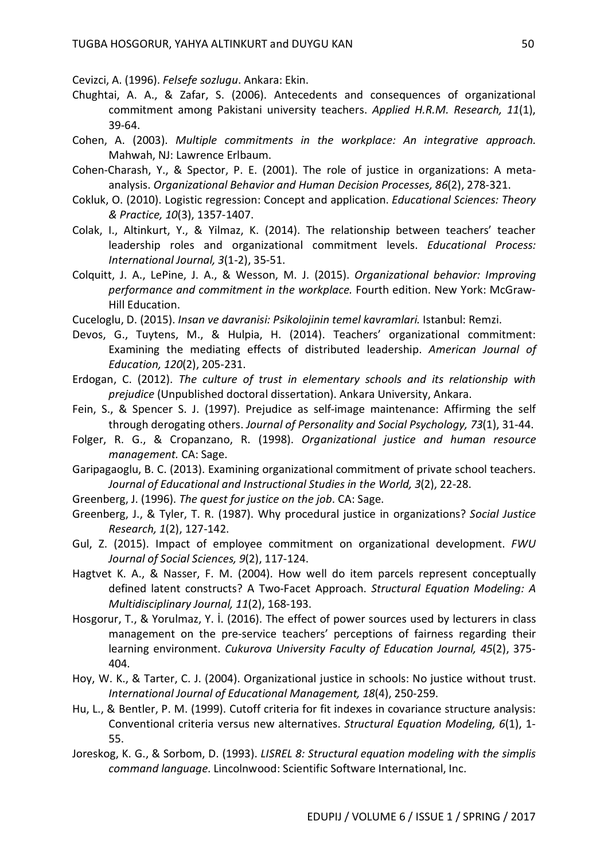Cevizci, A. (1996). *Felsefe sozlugu*. Ankara: Ekin.

- Chughtai, A. A., & Zafar, S. (2006). Antecedents and consequences of organizational commitment among Pakistani university teachers. *Applied H.R.M. Research, 11*(1), 39-64.
- Cohen, A. (2003). *Multiple commitments in the workplace: An integrative approach.* Mahwah, NJ: Lawrence Erlbaum.
- Cohen-Charash, Y., & Spector, P. E. (2001). The role of justice in organizations: A metaanalysis. *Organizational Behavior and Human Decision Processes, 86*(2), 278-321.
- Cokluk, O. (2010). Logistic regression: Concept and application. *Educational Sciences: Theory & Practice, 10*(3), 1357-1407.
- Colak, I., Altinkurt, Y., & Yilmaz, K. (2014). The relationship between teachers' teacher leadership roles and organizational commitment levels. *Educational Process: International Journal, 3*(1-2), 35-51.
- Colquitt, J. A., LePine, J. A., & Wesson, M. J. (2015). *Organizational behavior: Improving performance and commitment in the workplace.* Fourth edition. New York: McGraw-Hill Education.
- Cuceloglu, D. (2015). *Insan ve davranisi: Psikolojinin temel kavramlari.* Istanbul: Remzi.
- Devos, G., Tuytens, M., & Hulpia, H. (2014). Teachers' organizational commitment: Examining the mediating effects of distributed leadership. *American Journal of Education, 120*(2), 205-231.
- Erdogan, C. (2012). *The culture of trust in elementary schools and its relationship with prejudice* (Unpublished doctoral dissertation). Ankara University, Ankara.
- Fein, S., & Spencer S. J. (1997). Prejudice as self-image maintenance: Affirming the self through derogating others. *Journal of Personality and Social Psychology, 73*(1), 31-44.
- Folger, R. G., & Cropanzano, R. (1998). *Organizational justice and human resource management.* CA: Sage.
- Garipagaoglu, B. C. (2013). Examining organizational commitment of private school teachers. *Journal of Educational and Instructional Studies in the World, 3*(2), 22-28.
- Greenberg, J. (1996). *The quest for justice on the job*. CA: Sage.
- Greenberg, J., & Tyler, T. R. (1987). Why procedural justice in organizations? *Social Justice Research, 1*(2), 127-142.
- Gul, Z. (2015). Impact of employee commitment on organizational development. *FWU Journal of Social Sciences, 9*(2), 117-124.
- Hagtvet K. A., & Nasser, F. M. (2004). How well do item parcels represent conceptually defined latent constructs? A Two-Facet Approach. *Structural Equation Modeling: A Multidisciplinary Journal, 11*(2), 168-193.
- Hosgorur, T., & Yorulmaz, Y. İ. (2016). The effect of power sources used by lecturers in class management on the pre-service teachers' perceptions of fairness regarding their learning environment. *Cukurova University Faculty of Education Journal, 45*(2), 375- 404.
- Hoy, W. K., & Tarter, C. J. (2004). Organizational justice in schools: No justice without trust. *International Journal of Educational Management, 18*(4), 250-259.
- Hu, L., & Bentler, P. M. (1999). Cutoff criteria for fit indexes in covariance structure analysis: Conventional criteria versus new alternatives. *Structural Equation Modeling, 6*(1), 1- 55.
- Joreskog, K. G., & Sorbom, D. (1993). *LISREL 8: Structural equation modeling with the simplis command language*. Lincolnwood: Scientific Software International, Inc.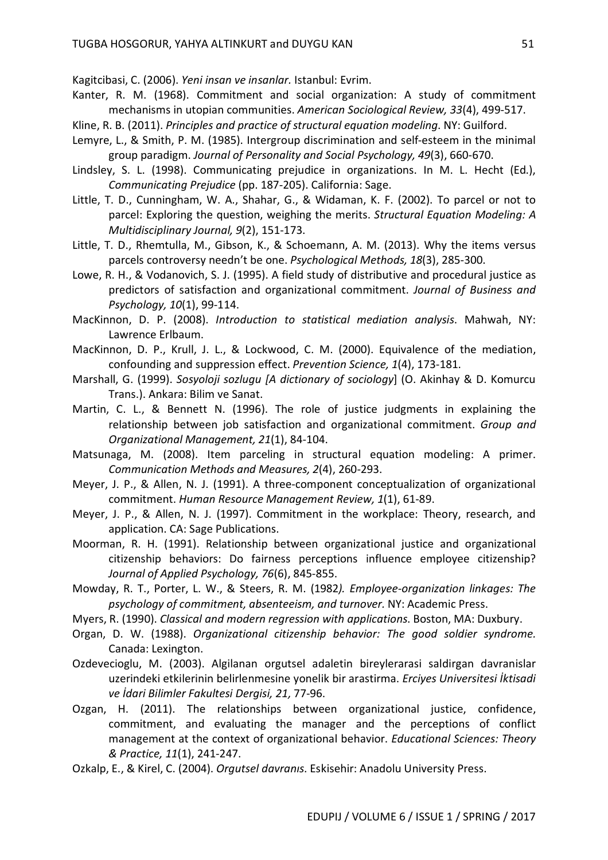Kagitcibasi, C. (2006). *Yeni insan ve insanlar.* Istanbul: Evrim.

- Kanter, R. M. (1968). Commitment and social organization: A study of commitment mechanisms in utopian communities. *American Sociological Review, 33*(4), 499-517.
- Kline, R. B. (2011). *Principles and practice of structural equation modeling*. NY: Guilford.
- Lemyre, L., & Smith, P. M. (1985). Intergroup discrimination and self-esteem in the minimal group paradigm. *Journal of Personality and Social Psychology, 49*(3), 660-670.
- Lindsley, S. L. (1998). Communicating prejudice in organizations. In M. L. Hecht (Ed.), *Communicating Prejudice* (pp. 187-205). California: Sage.
- Little, T. D., Cunningham, W. A., Shahar, G., & Widaman, K. F. (2002). To parcel or not to parcel: Exploring the question, weighing the merits. *Structural Equation Modeling: A Multidisciplinary Journal, 9*(2), 151-173.
- Little, T. D., Rhemtulla, M., Gibson, K., & Schoemann, A. M. (2013). Why the items versus parcels controversy needn't be one. *Psychological Methods, 18*(3), 285-300.
- Lowe, R. H., & Vodanovich, S. J. (1995). A field study of distributive and procedural justice as predictors of satisfaction and organizational commitment. *Journal of Business and Psychology, 10*(1), 99-114.
- MacKinnon, D. P. (2008). *Introduction to statistical mediation analysis*. Mahwah, NY: Lawrence Erlbaum.
- MacKinnon, D. P., Krull, J. L., & Lockwood, C. M. (2000). Equivalence of the mediation, confounding and suppression effect. *Prevention Science, 1*(4), 173-181.
- Marshall, G. (1999). *Sosyoloji sozlugu [A dictionary of sociology*] (O. Akinhay & D. Komurcu Trans.). Ankara: Bilim ve Sanat.
- Martin, C. L., & Bennett N. (1996). The role of justice judgments in explaining the relationship between job satisfaction and organizational commitment. *Group and Organizational Management, 21*(1), 84-104.
- Matsunaga, M. (2008). Item parceling in structural equation modeling: A primer. *Communication Methods and Measures, 2*(4), 260-293.
- Meyer, J. P., & Allen, N. J. (1991). A three-component conceptualization of organizational commitment. *Human Resource Management Review, 1*(1), 61-89.
- Meyer, J. P., & Allen, N. J. (1997). Commitment in the workplace: Theory, research, and application. CA: Sage Publications.
- Moorman, R. H. (1991). Relationship between organizational justice and organizational citizenship behaviors: Do fairness perceptions influence employee citizenship? *Journal of Applied Psychology, 76*(6), 845-855.
- Mowday, R. T., Porter, L. W., & Steers, R. M. (1982*). Employee-organization linkages: The psychology of commitment, absenteeism, and turnover.* NY: Academic Press.
- Myers, R. (1990). *Classical and modern regression with applications*. Boston, MA: Duxbury.
- Organ, D. W. (1988). *Organizational citizenship behavior: The good soldier syndrome.*  Canada: Lexington.
- Ozdevecioglu, M. (2003). Algilanan orgutsel adaletin bireylerarasi saldirgan davranislar uzerindeki etkilerinin belirlenmesine yonelik bir arastirma. *Erciyes Universitesi İktisadi ve İdari Bilimler Fakultesi Dergisi, 21,* 77-96.
- Ozgan, H. (2011). The relationships between organizational justice, confidence, commitment, and evaluating the manager and the perceptions of conflict management at the context of organizational behavior. *Educational Sciences: Theory & Practice, 11*(1), 241-247.
- Ozkalp, E., & Kirel, C. (2004). *Orgutsel davranıs*. Eskisehir: Anadolu University Press.